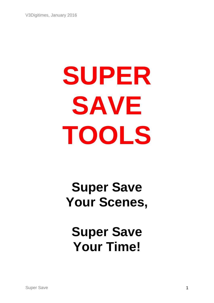# **SUPER SAVE TOOLS**

# **Super Save Your Scenes,**

# **Super Save Your Time!**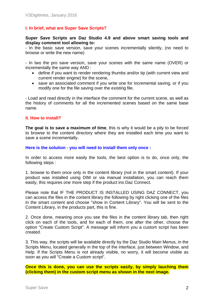# **I. In brief, what are Super Save Scripts?**

#### **Super Save Scripts are Daz Studio 4.9 and above smart saving tools and display comment tool allowing to:**

- In the basic save version, save your scenes incrementally silently, (no need to browse or write the new name)

- In two the pro save version, save your scenes with the same name (OVER) or incrementally the same way AND :

- define if you want to render rendering thumbs and/or tip (with current view and current render engine) for the scene,
- save an associated comment if you write one for incremental saving, or if you modify one for the file saving over the existing file.

- Load and read directly in the interface the comment for the current scene, as well as the history of comments for all the incremented scenes based on the same base name.

#### **II. How to install?**

**The goal is to save a maximum of time**, this is why it would be a pity to be forced to browse to the content directory where they are installed each time you want to save a scene incrementally.

#### **Here is the solution - you will need to install them only once :**

In order to access more easily the tools, the best option is to do, once only, the following steps :

1. browse to them once only in the content library (not in the smart content). If your product was installed using DIM or via manual installation, you can reach them easily, this requires one more step if the product ins Daz Connect.

Please note that IF THE PRODUCT IS INSTALLED USING DAZ CONNECT, you can access the files in the content library the following by right clicking one of the files in the smart content and choose "show in Content Library". You will be sent to the Content Library, in the products part, this is fine.

2. Once done, meaning once you see the files in the content library tab, then right click on each of the tools, and for each of them, one after the other, choose the option "Create Custom Script". A message will inform you a custom script has been created.

3. This way, the scripts will be available directly by the Daz Studio Main Menus, in the Scripts Menu, located generally in the top of the interface, just between Window, and Help. If the Scripts Menu is not already visible, no worry, it will become visible as soon as you will "Create a Custom script".

**Once this is done, you can use the scripts easily, by simply lauching them (clicking them) in the custom script menu as shown in the next image.**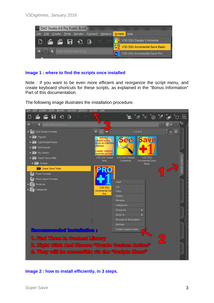

# **Image 1 : where to find the scripts once installed**

Note : If you want to be even more efficient and reorganize the script menu, and create keyboard shortcuts for these scripts, as explained in the "Bonus Information" Part of this documentation.

The following image illustrates the installation procedure.



**Image 2 : how to install efficiently, in 3 steps.**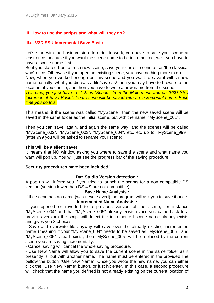# **III. How to use the scripts and what will they do?**

## **III.a. V3D SSU Incremental Save Basic**

Let's start with the basic version. In order to work, you have to save your scene at least once, because if you want the scene name to be incremented, well, you have to have a scene name first.

So if you started from a fresh new scene, save your current scene once "the classical way" once. Otherwise if you open an existing scene, you have nothing more to do.

Now, when you worked enough on this scene and you want to save it with a new name, usually, what you did was a file/save as/ then you may have to browse to the location of you choice, and then you have to write a new name from the scene.

*This time, you just have to click on "Scripts" from the Main menu and on "V3D SSU Incremental Save Basic". Your scene will be saved with an incremental name. Each time you do this.* 

This means, if the scene was called "MyScene", then the new saved scene will be saved in the same folder as the initial scene, but with the name, "MyScene\_001".

Then you can save, again, and again the same way, and the scenes will be called "MyScene\_002", "MyScene\_003", "MyScene\_004", etc, etc up to "MyScene\_999". (after 999 you will be asked to rename your scene).

#### **This will be a silent save!**

It means that NO window asking you where to save the scene and what name you want will pop up. You will just see the progress bar of the saving procedure.

#### **Security procedures have been included!**

#### **Daz Studio Version detection :**

A pop up will inform you if you tried to launch the scripts for a non compatible DS version (version lower than DS 4.9 are not compatible).

#### **Base Name Analysis :**

if the scene has no name (was never saved) the program will ask you to save it once. **Incremented Name Analysis :**

if you opened or reverted to a previous version of the scene, for instance "MyScene\_004" and that "MyScene\_005" already exists (since you came back to a previous version) the script will detect the incremented scene name already exists and gives you 3 choices:

- Save and overwrite file anyway will save over the already existing incremented name (meaning if your "MyScene 004" needs to be saved as "MyScene 005", and "MyScene\_005" alread exists, then "MyScene\_005" will be replaced by the current scene you are saving incrementally.

- Cancel saving will cancel the whole saving procedure.

- Use New Name will allow you to save the current scene in the same folder as it presently is, but with another name. The name must be entered in the provided line bellow the button "Use New Name". Once you wrote the new name, you can either click the "Use New Name" button, or just hit enter. In this case, a second procedure will check that the name you defined is not already existing on the current location of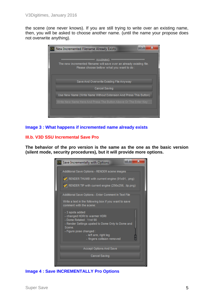the scene (one never knows). If you are still trying to write over an existing name, then, you will be asked to choose another name. (until the name your propose does not overwrite anything).

| New Incremented Filename Already Exists                                                                                                                                                                    |
|------------------------------------------------------------------------------------------------------------------------------------------------------------------------------------------------------------|
| *******************************<br><b>WARNING</b><br>*******************************<br>The new incremented filename will save over an already existing file.<br>Please choose bellow what you want to do: |
| Save And Overwrite Existing File Anyway<br>Cancel Saving                                                                                                                                                   |
| Use New Name (Write Name Without Extension And Press This Button)                                                                                                                                          |
| Write New Name Here And Press The Button Above Or The Enter Key                                                                                                                                            |
|                                                                                                                                                                                                            |

## **Image 3 : What happens if incremented name already exists**

## **III.b. V3D SSU Incremental Save Pro**

**The behavior of the pro version is the same as the one as the basic version (silent mode, security procedures), but it will provide more options.** 

| Ð<br>х<br>DS Save Incrementally with Options                                                                                                                          |
|-----------------------------------------------------------------------------------------------------------------------------------------------------------------------|
| Additional Save Options - RENDER scene images                                                                                                                         |
| RENDER THUMB with current engine (91x91, .png)                                                                                                                        |
| RENDER TIP with current engine (256x256, .tip.png)                                                                                                                    |
| Additional Save Options - Enter Comment In Text File                                                                                                                  |
| Write a text in the following box if you want to save<br>comment with the scene:                                                                                      |
| - 3 spots added<br>- changed HDRI to warmer HDRI<br>- Dome Rotated: Yrot 90<br>- Render Settings upated to Dome Only to Dome and<br>Scene.<br>- Figure pose changed : |
| - left arm, right leg<br>- fingers collision removed                                                                                                                  |
| Accept Options And Save                                                                                                                                               |
| <b>Cancel Saving</b>                                                                                                                                                  |
|                                                                                                                                                                       |

# **Image 4 : Save INCREMENTALLY Pro Options**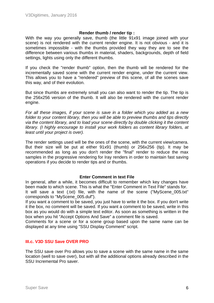#### **Render thumb / render tip :**

With the way you generally save, thumb (the little 91x91 image joined with your scene) is not rendered with the current render engine. It is not obvious - and it is sometimes impossible - with the thumbs provided they way they are to see the difference between various thumbs in material, shaders, backgrounds, depth of field settings, lights using only the different thumbs.

If you check the "render thumb" option, then the thumb will be rendered for the incrementally saved scene with the current render engine, under the current view. This allows you to have a "rendered" preview of this scene, of all the scenes save this way, and of their evolution.

But since thumbs are extremely small you can also want to render the tip. The tip is the 256x256 version of the thumb. It will also be rendered with the current render engine.

*For all these images, if your scene is save in a folder which you added as a new folder to your content library, then you will be able to preview thumbs and tips directly via the content library, and to load your scene directly by double clicking it the content library. (I highly encourage to install your work folders as content library folders, at least until your project is over).* 

The render settings used will be the ones of the scene, with the current view/camera. But their size will be put at either 91x91 (thumb) or 256x256 (tip). It may be recommended as long as you don't render the "final" render to reduce the max samples in the progressive rendering for Iray renders in order to maintain fast saving operations if you decide to render tips and or thumbs.

#### **Enter Comment in text File**

In general, after a while, it becomes difficult to remember which key changes have been made to which scene. This is what the "Enter Comment in Text File" stands for. It will save a text (.txt) file, with the name of the scene ("MyScene 005.txt" corresponds to "MyScene\_005.duf").

If you want a comment to be saved, you just have to write it the box. If you don't write it the box, no comment will be saved. If you want a comment to be saved, write in this box as you would do with a simple text editor. As soon as something is written in the box when you hit "Accept Options And Save" a comment file is saved.

Comments for a scene or for a scene group based upon the same name can be displayed at any time using "SSU Display Comment" script.

#### **III.c. V3D SSU Save OVER PRO**

The SSU save over Pro allows you to save a scene with the same name in the same location (well to save over), but with all the additional options already described in the SSU Incremental Pro saver.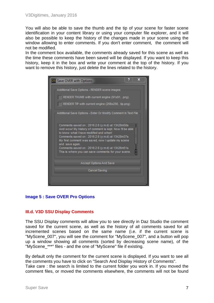You will also be able to save the thumb and the tip of your scene for faster scene identification in your content library or using your computer file explorer, and it will also be possible to keep the history of the changes made in your scene using the window allowing to enter comments. If you don't enter comment, the comment will not be modified.

In the comment box available, the comments already saved for this scene as well as the time these comments have been saved will be displayed. If you want to keep this history, keep it in the box and write your comment at the top of the history. If you want to remove this history, just delete the lines related to the history.



# **Image 5 : Save OVER Pro Options**

#### **III.d. V3D SSU Display Comments**

The SSU Display comments will allow you to see directly in Daz Studio the comment saved for the current scene, as well as the history of all comments saved for all incremented scenes based on the same name (i.e. if the current scene is "MyScene\_007", you will see the comment for "MyScene\_007", and a button will pop up a window showing all comments (sorted by decreasing scene name), of the "MyScene\_\*\*\*" files - and the one of "MyScene" file if existing.

By default only the comment for the current scene is displayed. If you want to see all the comments you have to click on "Search And Display History of Comments".

Take care : the search is limited to the current folder you work in. If you moved the comment files, or moved the comments elsewhere, the comments will not be found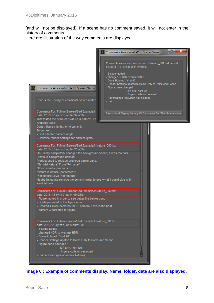(and will not be displayed). If a scene has no comment saved, it will not enter in the history of comments.

Here are illustration of the way comments are displayed.



**Image 6 : Example of comments display. Name, folder, date are also displayed.**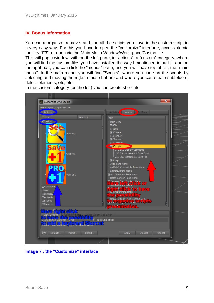# **IV. Bonus Information**

You can reorganize, remove, and sort all the scripts you have in the custom script in a very easy way. For this you have to open the "customize" interface, accessible via the key "F3", or open via the Main Menu Window/Workspace/Customize.

This will pop a window, with on the left pane, in "actions", a "custom" category, where you will find the custom files you have installed the way I mentioned in part II, and on the right part, you can click the "menus" pane, and you will have top of list, the "main menu". In the main menu, you will find "Scripts", where you can sort the scripts by selecting and moving them (left mouse button) and where you can create subfolders, delete elements, etc, etc.

In the custom category (on the left) you can create shorcuts.



**Image 7 : the "Customize" interface**